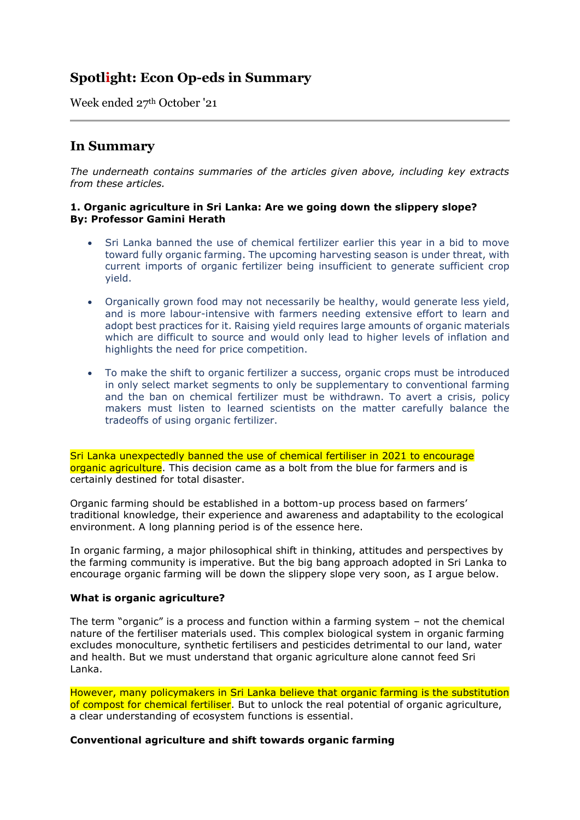# **Spotlight: Econ Op-eds in Summary**

Week ended 27th October '21

## **In Summary**

*The underneath contains summaries of the articles given above, including key extracts from these articles.*

## **1. Organic agriculture in Sri Lanka: Are we going down the slippery slope? By: Professor Gamini Herath**

- Sri Lanka banned the use of chemical fertilizer earlier this year in a bid to move toward fully organic farming. The upcoming harvesting season is under threat, with current imports of organic fertilizer being insufficient to generate sufficient crop yield.
- Organically grown food may not necessarily be healthy, would generate less yield, and is more labour-intensive with farmers needing extensive effort to learn and adopt best practices for it. Raising yield requires large amounts of organic materials which are difficult to source and would only lead to higher levels of inflation and highlights the need for price competition.
- To make the shift to organic fertilizer a success, organic crops must be introduced in only select market segments to only be supplementary to conventional farming and the ban on chemical fertilizer must be withdrawn. To avert a crisis, policy makers must listen to learned scientists on the matter carefully balance the tradeoffs of using organic fertilizer.

Sri Lanka unexpectedly banned the use of chemical fertiliser in 2021 to encourage organic agriculture. This decision came as a bolt from the blue for farmers and is certainly destined for total disaster.

Organic farming should be established in a bottom-up process based on farmers' traditional knowledge, their experience and awareness and adaptability to the ecological environment. A long planning period is of the essence here.

In organic farming, a major philosophical shift in thinking, attitudes and perspectives by the farming community is imperative. But the big bang approach adopted in Sri Lanka to encourage organic farming will be down the slippery slope very soon, as I argue below.

## **What is organic agriculture?**

The term "organic" is a process and function within a farming system – not the chemical nature of the fertiliser materials used. This complex biological system in organic farming excludes monoculture, synthetic fertilisers and pesticides detrimental to our land, water and health. But we must understand that organic agriculture alone cannot feed Sri Lanka.

However, many policymakers in Sri Lanka believe that organic farming is the substitution of compost for chemical fertiliser. But to unlock the real potential of organic agriculture, a clear understanding of ecosystem functions is essential.

## **Conventional agriculture and shift towards organic farming**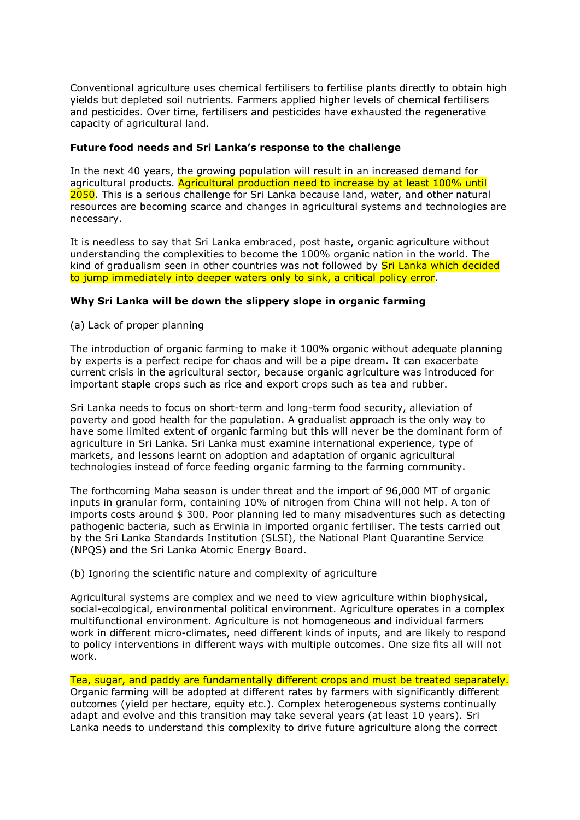Conventional agriculture uses chemical fertilisers to fertilise plants directly to obtain high yields but depleted soil nutrients. Farmers applied higher levels of chemical fertilisers and pesticides. Over time, fertilisers and pesticides have exhausted the regenerative capacity of agricultural land.

## **Future food needs and Sri Lanka's response to the challenge**

In the next 40 years, the growing population will result in an increased demand for agricultural products. Agricultural production need to increase by at least 100% until 2050. This is a serious challenge for Sri Lanka because land, water, and other natural resources are becoming scarce and changes in agricultural systems and technologies are necessary.

It is needless to say that Sri Lanka embraced, post haste, organic agriculture without understanding the complexities to become the 100% organic nation in the world. The kind of gradualism seen in other countries was not followed by **Sri Lanka which decided** to jump immediately into deeper waters only to sink, a critical policy error.

## **Why Sri Lanka will be down the slippery slope in organic farming**

(a) Lack of proper planning

The introduction of organic farming to make it 100% organic without adequate planning by experts is a perfect recipe for chaos and will be a pipe dream. It can exacerbate current crisis in the agricultural sector, because organic agriculture was introduced for important staple crops such as rice and export crops such as tea and rubber.

Sri Lanka needs to focus on short-term and long-term food security, alleviation of poverty and good health for the population. A gradualist approach is the only way to have some limited extent of organic farming but this will never be the dominant form of agriculture in Sri Lanka. Sri Lanka must examine international experience, type of markets, and lessons learnt on adoption and adaptation of organic agricultural technologies instead of force feeding organic farming to the farming community.

The forthcoming Maha season is under threat and the import of 96,000 MT of organic inputs in granular form, containing 10% of nitrogen from China will not help. A ton of imports costs around \$ 300. Poor planning led to many misadventures such as detecting pathogenic bacteria, such as Erwinia in imported organic fertiliser. The tests carried out by the Sri Lanka Standards Institution (SLSI), the National Plant Quarantine Service (NPQS) and the Sri Lanka Atomic Energy Board.

(b) Ignoring the scientific nature and complexity of agriculture

Agricultural systems are complex and we need to view agriculture within biophysical, social-ecological, environmental political environment. Agriculture operates in a complex multifunctional environment. Agriculture is not homogeneous and individual farmers work in different micro-climates, need different kinds of inputs, and are likely to respond to policy interventions in different ways with multiple outcomes. One size fits all will not work.

## Tea, sugar, and paddy are fundamentally different crops and must be treated separately.

Organic farming will be adopted at different rates by farmers with significantly different outcomes (yield per hectare, equity etc.). Complex heterogeneous systems continually adapt and evolve and this transition may take several years (at least 10 years). Sri Lanka needs to understand this complexity to drive future agriculture along the correct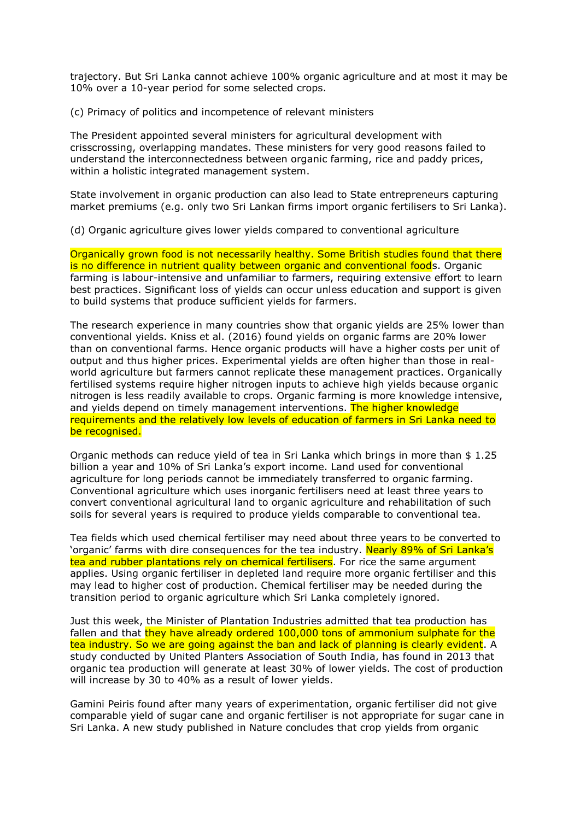trajectory. But Sri Lanka cannot achieve 100% organic agriculture and at most it may be 10% over a 10-year period for some selected crops.

(c) Primacy of politics and incompetence of relevant ministers

The President appointed several ministers for agricultural development with crisscrossing, overlapping mandates. These ministers for very good reasons failed to understand the interconnectedness between organic farming, rice and paddy prices, within a holistic integrated management system.

State involvement in organic production can also lead to State entrepreneurs capturing market premiums (e.g. only two Sri Lankan firms import organic fertilisers to Sri Lanka).

(d) Organic agriculture gives lower yields compared to conventional agriculture

Organically grown food is not necessarily healthy. Some British studies found that there is no difference in nutrient quality between organic and conventional foods. Organic farming is labour-intensive and unfamiliar to farmers, requiring extensive effort to learn best practices. Significant loss of yields can occur unless education and support is given to build systems that produce sufficient yields for farmers.

The research experience in many countries show that organic yields are 25% lower than conventional yields. Kniss et al. (2016) found yields on organic farms are 20% lower than on conventional farms. Hence organic products will have a higher costs per unit of output and thus higher prices. Experimental yields are often higher than those in realworld agriculture but farmers cannot replicate these management practices. Organically fertilised systems require higher nitrogen inputs to achieve high yields because organic nitrogen is less readily available to crops. Organic farming is more knowledge intensive, and yields depend on timely management interventions. The higher knowledge requirements and the relatively low levels of education of farmers in Sri Lanka need to be recognised.

Organic methods can reduce yield of tea in Sri Lanka which brings in more than \$ 1.25 billion a year and 10% of Sri Lanka's export income. Land used for conventional agriculture for long periods cannot be immediately transferred to organic farming. Conventional agriculture which uses inorganic fertilisers need at least three years to convert conventional agricultural land to organic agriculture and rehabilitation of such soils for several years is required to produce yields comparable to conventional tea.

Tea fields which used chemical fertiliser may need about three years to be converted to 'organic' farms with dire consequences for the tea industry. Nearly 89% of Sri Lanka's tea and rubber plantations rely on chemical fertilisers. For rice the same argument applies. Using organic fertiliser in depleted land require more organic fertiliser and this may lead to higher cost of production. Chemical fertiliser may be needed during the transition period to organic agriculture which Sri Lanka completely ignored.

Just this week, the Minister of Plantation Industries admitted that tea production has fallen and that they have already ordered 100,000 tons of ammonium sulphate for the tea industry. So we are going against the ban and lack of planning is clearly evident. A study conducted by United Planters Association of South India, has found in 2013 that organic tea production will generate at least 30% of lower yields. The cost of production will increase by 30 to 40% as a result of lower yields.

Gamini Peiris found after many years of experimentation, organic fertiliser did not give comparable yield of sugar cane and organic fertiliser is not appropriate for sugar cane in Sri Lanka. A new study published in Nature concludes that crop yields from organic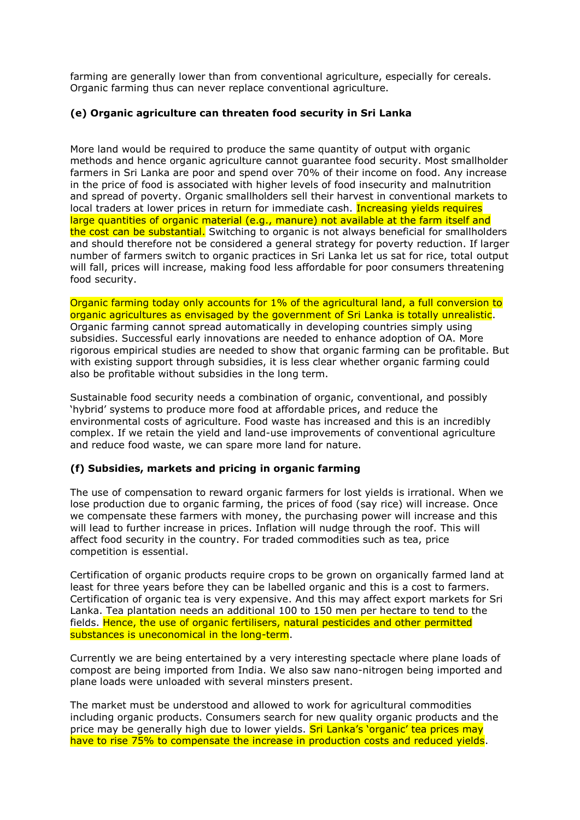farming are generally lower than from conventional agriculture, especially for cereals. Organic farming thus can never replace conventional agriculture.

## **(e) Organic agriculture can threaten food security in Sri Lanka**

More land would be required to produce the same quantity of output with organic methods and hence organic agriculture cannot guarantee food security. Most smallholder farmers in Sri Lanka are poor and spend over 70% of their income on food. Any increase in the price of food is associated with higher levels of food insecurity and malnutrition and spread of poverty. Organic smallholders sell their harvest in conventional markets to local traders at lower prices in return for immediate cash. Increasing yields requires large quantities of organic material (e.g., manure) not available at the farm itself and the cost can be substantial. Switching to organic is not always beneficial for smallholders and should therefore not be considered a general strategy for poverty reduction. If larger number of farmers switch to organic practices in Sri Lanka let us sat for rice, total output will fall, prices will increase, making food less affordable for poor consumers threatening food security.

Organic farming today only accounts for 1% of the agricultural land, a full conversion to organic agricultures as envisaged by the government of Sri Lanka is totally unrealistic. Organic farming cannot spread automatically in developing countries simply using subsidies. Successful early innovations are needed to enhance adoption of OA. More rigorous empirical studies are needed to show that organic farming can be profitable. But with existing support through subsidies, it is less clear whether organic farming could also be profitable without subsidies in the long term.

Sustainable food security needs a combination of organic, conventional, and possibly 'hybrid' systems to produce more food at affordable prices, and reduce the environmental costs of agriculture. Food waste has increased and this is an incredibly complex. If we retain the yield and land-use improvements of conventional agriculture and reduce food waste, we can spare more land for nature.

## **(f) Subsidies, markets and pricing in organic farming**

The use of compensation to reward organic farmers for lost yields is irrational. When we lose production due to organic farming, the prices of food (say rice) will increase. Once we compensate these farmers with money, the purchasing power will increase and this will lead to further increase in prices. Inflation will nudge through the roof. This will affect food security in the country. For traded commodities such as tea, price competition is essential.

Certification of organic products require crops to be grown on organically farmed land at least for three years before they can be labelled organic and this is a cost to farmers. Certification of organic tea is very expensive. And this may affect export markets for Sri Lanka. Tea plantation needs an additional 100 to 150 men per hectare to tend to the fields. Hence, the use of organic fertilisers, natural pesticides and other permitted substances is uneconomical in the long-term.

Currently we are being entertained by a very interesting spectacle where plane loads of compost are being imported from India. We also saw nano-nitrogen being imported and plane loads were unloaded with several minsters present.

The market must be understood and allowed to work for agricultural commodities including organic products. Consumers search for new quality organic products and the price may be generally high due to lower yields. Sri Lanka's 'organic' tea prices may have to rise 75% to compensate the increase in production costs and reduced yields.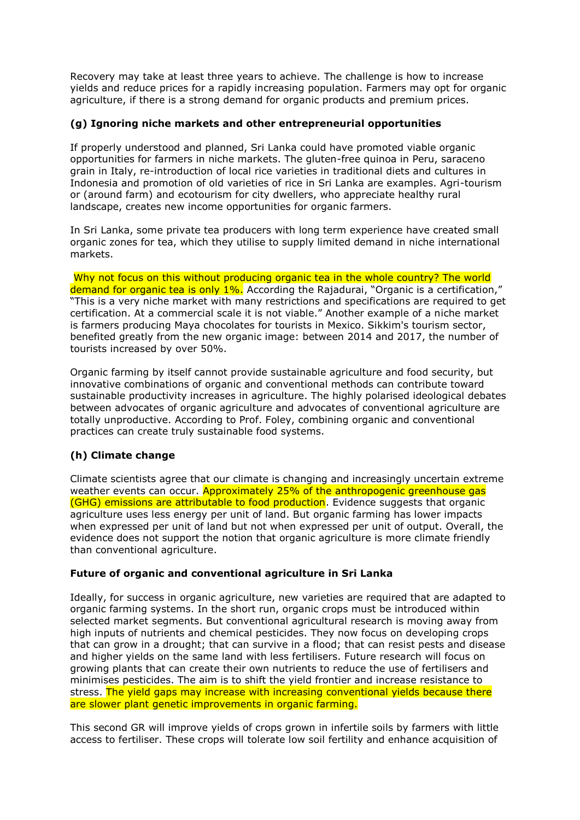Recovery may take at least three years to achieve. The challenge is how to increase yields and reduce prices for a rapidly increasing population. Farmers may opt for organic agriculture, if there is a strong demand for organic products and premium prices.

## **(g) Ignoring niche markets and other entrepreneurial opportunities**

If properly understood and planned, Sri Lanka could have promoted viable organic opportunities for farmers in niche markets. The gluten-free quinoa in Peru, saraceno grain in Italy, re-introduction of local rice varieties in traditional diets and cultures in Indonesia and promotion of old varieties of rice in Sri Lanka are examples. Agri-tourism or (around farm) and ecotourism for city dwellers, who appreciate healthy rural landscape, creates new income opportunities for organic farmers.

In Sri Lanka, some private tea producers with long term experience have created small organic zones for tea, which they utilise to supply limited demand in niche international markets.

Why not focus on this without producing organic tea in the whole country? The world demand for organic tea is only 1%. According the Rajadurai, "Organic is a certification," "This is a very niche market with many restrictions and specifications are required to get certification. At a commercial scale it is not viable." Another example of a niche market is farmers producing Maya chocolates for tourists in Mexico. Sikkim's tourism sector, benefited greatly from the new organic image: between 2014 and 2017, the number of tourists increased by over 50%.

Organic farming by itself cannot provide sustainable agriculture and food security, but innovative combinations of organic and conventional methods can contribute toward sustainable productivity increases in agriculture. The highly polarised ideological debates between advocates of organic agriculture and advocates of conventional agriculture are totally unproductive. According to Prof. Foley, combining organic and conventional practices can create truly sustainable food systems.

## **(h) Climate change**

Climate scientists agree that our climate is changing and increasingly uncertain extreme weather events can occur. Approximately 25% of the anthropogenic greenhouse gas (GHG) emissions are attributable to food production. Evidence suggests that organic agriculture uses less energy per unit of land. But organic farming has lower impacts when expressed per unit of land but not when expressed per unit of output. Overall, the evidence does not support the notion that organic agriculture is more climate friendly than conventional agriculture.

## **Future of organic and conventional agriculture in Sri Lanka**

Ideally, for success in organic agriculture, new varieties are required that are adapted to organic farming systems. In the short run, organic crops must be introduced within selected market segments. But conventional agricultural research is moving away from high inputs of nutrients and chemical pesticides. They now focus on developing crops that can grow in a drought; that can survive in a flood; that can resist pests and disease and higher yields on the same land with less fertilisers. Future research will focus on growing plants that can create their own nutrients to reduce the use of fertilisers and minimises pesticides. The aim is to shift the yield frontier and increase resistance to stress. The yield gaps may increase with increasing conventional yields because there are slower plant genetic improvements in organic farming.

This second GR will improve yields of crops grown in infertile soils by farmers with little access to fertiliser. These crops will tolerate low soil fertility and enhance acquisition of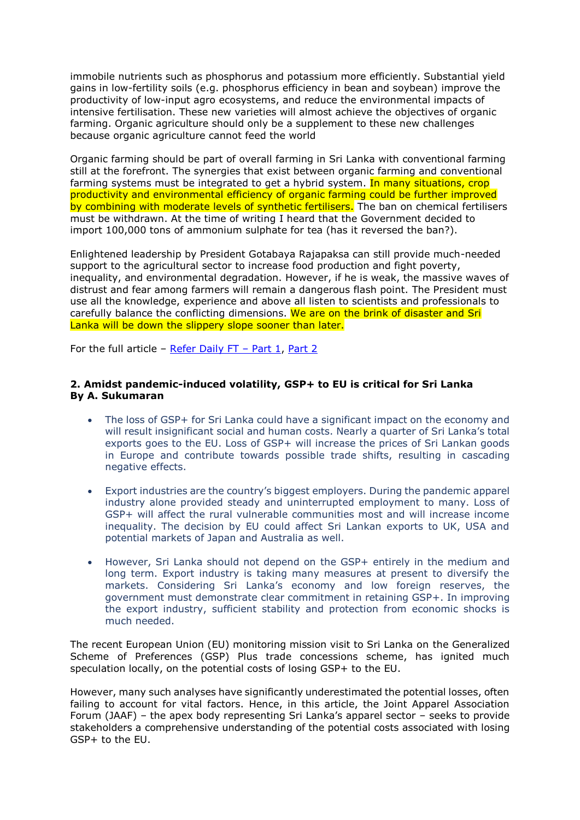immobile nutrients such as phosphorus and potassium more efficiently. Substantial yield gains in low-fertility soils (e.g. phosphorus efficiency in bean and soybean) improve the productivity of low-input agro ecosystems, and reduce the environmental impacts of intensive fertilisation. These new varieties will almost achieve the objectives of organic farming. Organic agriculture should only be a supplement to these new challenges because organic agriculture cannot feed the world

Organic farming should be part of overall farming in Sri Lanka with conventional farming still at the forefront. The synergies that exist between organic farming and conventional farming systems must be integrated to get a hybrid system. In many situations, crop productivity and environmental efficiency of organic farming could be further improved by combining with moderate levels of synthetic fertilisers. The ban on chemical fertilisers must be withdrawn. At the time of writing I heard that the Government decided to import 100,000 tons of ammonium sulphate for tea (has it reversed the ban?).

Enlightened leadership by President Gotabaya Rajapaksa can still provide much-needed support to the agricultural sector to increase food production and fight poverty, inequality, and environmental degradation. However, if he is weak, the massive waves of distrust and fear among farmers will remain a dangerous flash point. The President must use all the knowledge, experience and above all listen to scientists and professionals to carefully balance the conflicting dimensions. We are on the brink of disaster and Sri Lanka will be down the slippery slope sooner than later.

For the full article – [Refer Daily FT](https://www.ft.lk/columns/Organic-agriculture-in-Sri-Lanka-Are-we-going-down-the-slippery-slope-Part-1/4-724914) – Part 1, [Part 2](https://www.ft.lk/columns/Organic-agriculture-in-Sri-Lanka-Are-we-going-down-the-slippery-slope-Part-2/4-724968)

## **2. Amidst pandemic-induced volatility, GSP+ to EU is critical for Sri Lanka By A. Sukumaran**

- The loss of GSP+ for Sri Lanka could have a significant impact on the economy and will result insignificant social and human costs. Nearly a quarter of Sri Lanka's total exports goes to the EU. Loss of GSP+ will increase the prices of Sri Lankan goods in Europe and contribute towards possible trade shifts, resulting in cascading negative effects.
- Export industries are the country's biggest employers. During the pandemic apparel industry alone provided steady and uninterrupted employment to many. Loss of GSP+ will affect the rural vulnerable communities most and will increase income inequality. The decision by EU could affect Sri Lankan exports to UK, USA and potential markets of Japan and Australia as well.
- However, Sri Lanka should not depend on the GSP+ entirely in the medium and long term. Export industry is taking many measures at present to diversify the markets. Considering Sri Lanka's economy and low foreign reserves, the government must demonstrate clear commitment in retaining GSP+. In improving the export industry, sufficient stability and protection from economic shocks is much needed.

The recent European Union (EU) monitoring mission visit to Sri Lanka on the Generalized Scheme of Preferences (GSP) Plus trade concessions scheme, has ignited much speculation locally, on the potential costs of losing GSP+ to the EU.

However, many such analyses have significantly underestimated the potential losses, often failing to account for vital factors. Hence, in this article, the Joint Apparel Association Forum (JAAF) – the apex body representing Sri Lanka's apparel sector – seeks to provide stakeholders a comprehensive understanding of the potential costs associated with losing GSP+ to the EU.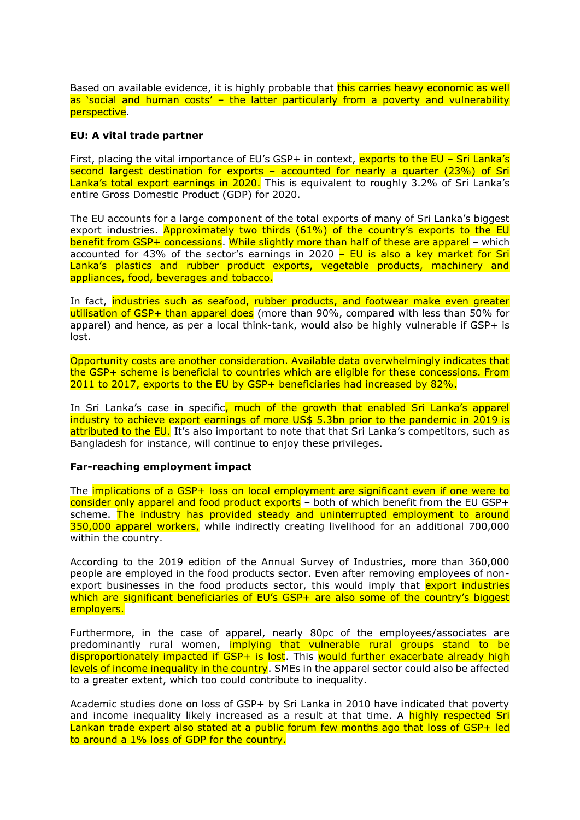Based on available evidence, it is highly probable that this carries heavy economic as well as 'social and human costs' – the latter particularly from a poverty and vulnerability perspective.

## **EU: A vital trade partner**

First, placing the vital importance of EU's GSP+ in context, exports to the EU - Sri Lanka's second largest destination for exports – accounted for nearly a quarter (23%) of Sri Lanka's total export earnings in 2020. This is equivalent to roughly 3.2% of Sri Lanka's entire Gross Domestic Product (GDP) for 2020.

The EU accounts for a large component of the total exports of many of Sri Lanka's biggest export industries. Approximately two thirds (61%) of the country's exports to the EU benefit from GSP+ concessions. While slightly more than half of these are apparel – which accounted for 43% of the sector's earnings in 2020 – EU is also a key market for Sri Lanka's plastics and rubber product exports, vegetable products, machinery and appliances, food, beverages and tobacco.

In fact, industries such as seafood, rubber products, and footwear make even greater utilisation of GSP+ than apparel does (more than 90%, compared with less than 50% for apparel) and hence, as per a local think-tank, would also be highly vulnerable if GSP+ is lost.

Opportunity costs are another consideration. Available data overwhelmingly indicates that the GSP+ scheme is beneficial to countries which are eligible for these concessions. From 2011 to 2017, exports to the EU by GSP+ beneficiaries had increased by 82%.

In Sri Lanka's case in specific, much of the growth that enabled Sri Lanka's apparel industry to achieve export earnings of more US\$ 5.3bn prior to the pandemic in 2019 is attributed to the EU. It's also important to note that that Sri Lanka's competitors, such as Bangladesh for instance, will continue to enjoy these privileges.

#### **Far-reaching employment impact**

The implications of a GSP+ loss on local employment are significant even if one were to consider only apparel and food product exports - both of which benefit from the EU GSP+ scheme. The industry has provided steady and uninterrupted employment to around 350,000 apparel workers, while indirectly creating livelihood for an additional 700,000 within the country.

According to the 2019 edition of the Annual Survey of Industries, more than 360,000 people are employed in the food products sector. Even after removing employees of nonexport businesses in the food products sector, this would imply that export industries which are significant beneficiaries of EU's GSP+ are also some of the country's biggest employers.

Furthermore, in the case of apparel, nearly 80pc of the employees/associates are predominantly rural women, implying that vulnerable rural groups stand to be disproportionately impacted if GSP+ is lost. This would further exacerbate already high levels of income inequality in the country. SMEs in the apparel sector could also be affected to a greater extent, which too could contribute to inequality.

Academic studies done on loss of GSP+ by Sri Lanka in 2010 have indicated that poverty and income inequality likely increased as a result at that time. A highly respected Sri Lankan trade expert also stated at a public forum few months ago that loss of GSP+ led to around a 1% loss of GDP for the country.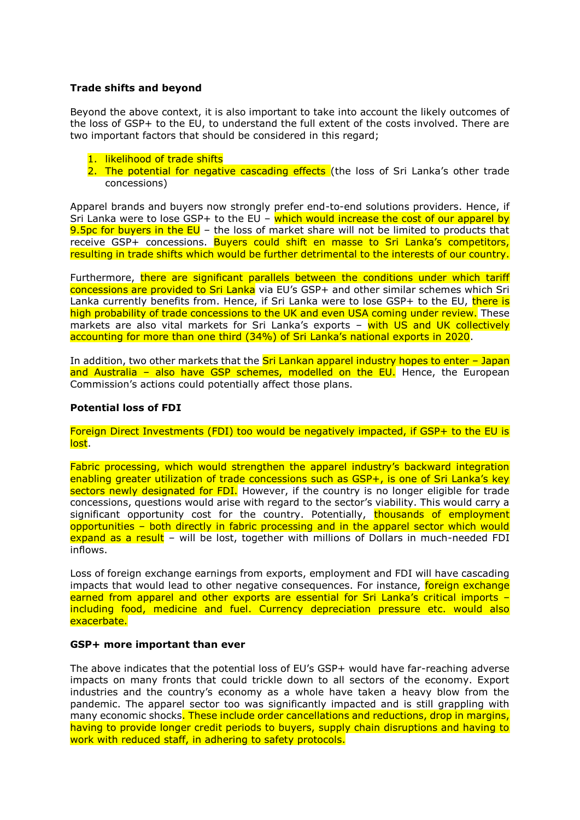## **Trade shifts and beyond**

Beyond the above context, it is also important to take into account the likely outcomes of the loss of GSP+ to the EU, to understand the full extent of the costs involved. There are two important factors that should be considered in this regard;

- 1. likelihood of trade shifts
- 2. The potential for negative cascading effects (the loss of Sri Lanka's other trade concessions)

Apparel brands and buyers now strongly prefer end-to-end solutions providers. Hence, if Sri Lanka were to lose GSP+ to the EU - which would increase the cost of our apparel by 9.5pc for buyers in the EU – the loss of market share will not be limited to products that receive GSP+ concessions. Buyers could shift en masse to Sri Lanka's competitors, resulting in trade shifts which would be further detrimental to the interests of our country.

Furthermore, there are significant parallels between the conditions under which tariff concessions are provided to Sri Lanka via EU's GSP+ and other similar schemes which Sri Lanka currently benefits from. Hence, if Sri Lanka were to lose GSP+ to the EU, there is high probability of trade concessions to the UK and even USA coming under review. These markets are also vital markets for Sri Lanka's exports – with US and UK collectively accounting for more than one third (34%) of Sri Lanka's national exports in 2020.

In addition, two other markets that the  $Sri$  Lankan apparel industry hopes to enter  $-$  Japan and Australia - also have GSP schemes, modelled on the EU. Hence, the European Commission's actions could potentially affect those plans.

## **Potential loss of FDI**

Foreign Direct Investments (FDI) too would be negatively impacted, if GSP+ to the EU is lost.

Fabric processing, which would strengthen the apparel industry's backward integration enabling greater utilization of trade concessions such as GSP+, is one of Sri Lanka's key sectors newly designated for FDI. However, if the country is no longer eligible for trade concessions, questions would arise with regard to the sector's viability. This would carry a significant opportunity cost for the country. Potentially, thousands of employment opportunities – both directly in fabric processing and in the apparel sector which would expand as a result - will be lost, together with millions of Dollars in much-needed FDI inflows.

Loss of foreign exchange earnings from exports, employment and FDI will have cascading impacts that would lead to other negative consequences. For instance, foreign exchange earned from apparel and other exports are essential for Sri Lanka's critical imports – including food, medicine and fuel. Currency depreciation pressure etc. would also exacerbate.

## **GSP+ more important than ever**

The above indicates that the potential loss of EU's GSP+ would have far-reaching adverse impacts on many fronts that could trickle down to all sectors of the economy. Export industries and the country's economy as a whole have taken a heavy blow from the pandemic. The apparel sector too was significantly impacted and is still grappling with many economic shocks. These include order cancellations and reductions, drop in margins, having to provide longer credit periods to buyers, supply chain disruptions and having to work with reduced staff, in adhering to safety protocols.